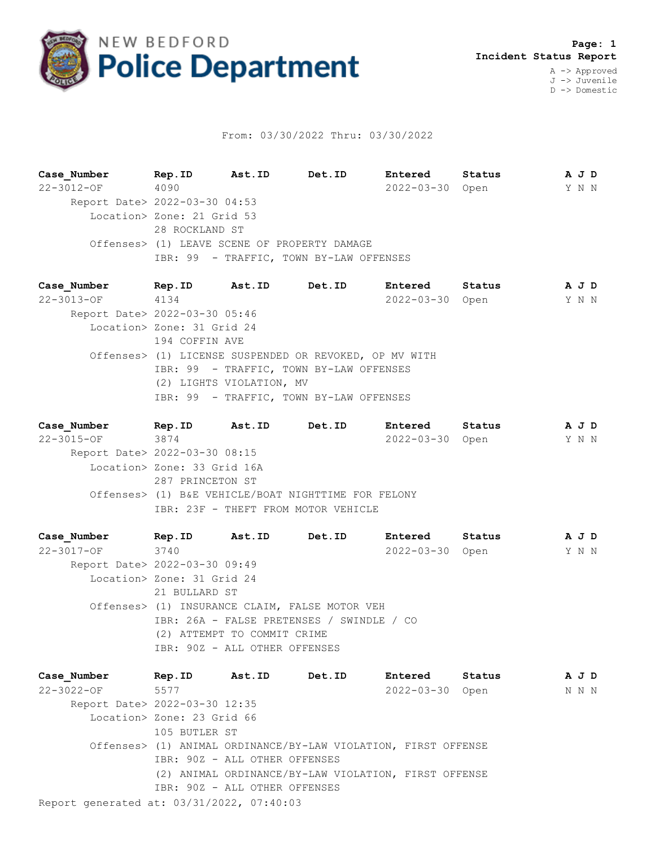

## From: 03/30/2022 Thru: 03/30/2022

**Case\_Number Rep.ID Ast.ID Det.ID Entered Status A J D** 22-3012-OF 4090 2022-03-30 Open Y N N Report Date> 2022-03-30 04:53 Location> Zone: 21 Grid 53 28 ROCKLAND ST Offenses> (1) LEAVE SCENE OF PROPERTY DAMAGE IBR: 99 - TRAFFIC, TOWN BY-LAW OFFENSES

**Case\_Number Rep.ID Ast.ID Det.ID Entered Status A J D** 22-3013-OF 4134 2022-03-30 Open Y N N Report Date> 2022-03-30 05:46 Location> Zone: 31 Grid 24 194 COFFIN AVE Offenses> (1) LICENSE SUSPENDED OR REVOKED, OP MV WITH IBR: 99 - TRAFFIC, TOWN BY-LAW OFFENSES (2) LIGHTS VIOLATION, MV IBR: 99 - TRAFFIC, TOWN BY-LAW OFFENSES

**Case\_Number Rep.ID Ast.ID Det.ID Entered Status A J D** 22-3015-OF 3874 2022-03-30 Open Y N N Report Date> 2022-03-30 08:15 Location> Zone: 33 Grid 16A 287 PRINCETON ST Offenses> (1) B&E VEHICLE/BOAT NIGHTTIME FOR FELONY IBR: 23F - THEFT FROM MOTOR VEHICLE

**Case\_Number Rep.ID Ast.ID Det.ID Entered Status A J D** 22-3017-OF 3740 2022-03-30 Open Y N N Report Date> 2022-03-30 09:49 Location> Zone: 31 Grid 24 21 BULLARD ST Offenses> (1) INSURANCE CLAIM, FALSE MOTOR VEH IBR: 26A - FALSE PRETENSES / SWINDLE / CO (2) ATTEMPT TO COMMIT CRIME IBR: 90Z - ALL OTHER OFFENSES

Report generated at: 03/31/2022, 07:40:03 **Case\_Number Rep.ID Ast.ID Det.ID Entered Status A J D** 22-3022-OF 5577 2022-03-30 Open N N N Report Date> 2022-03-30 12:35 Location> Zone: 23 Grid 66 105 BUTLER ST Offenses> (1) ANIMAL ORDINANCE/BY-LAW VIOLATION, FIRST OFFENSE IBR: 90Z - ALL OTHER OFFENSES (2) ANIMAL ORDINANCE/BY-LAW VIOLATION, FIRST OFFENSE IBR: 90Z - ALL OTHER OFFENSES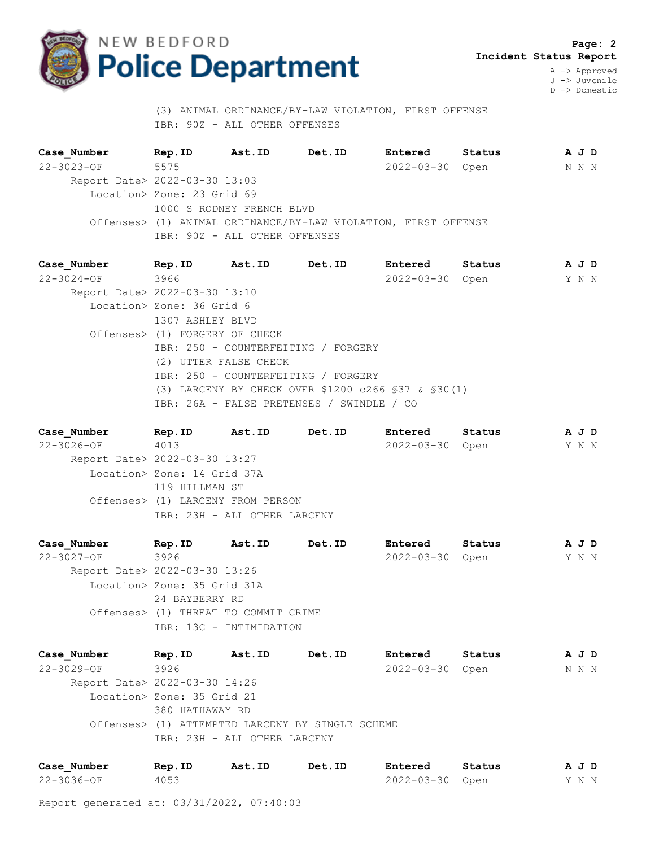

 **Page: 2 Incident Status Report**

A -> Approved J -> Juvenile D -> Domestic

 (3) ANIMAL ORDINANCE/BY-LAW VIOLATION, FIRST OFFENSE IBR: 90Z - ALL OTHER OFFENSES

**Case\_Number Rep.ID Ast.ID Det.ID Entered Status A J D** 22-3023-OF 5575 2022-03-30 Open N N N Report Date> 2022-03-30 13:03 Location> Zone: 23 Grid 69 1000 S RODNEY FRENCH BLVD Offenses> (1) ANIMAL ORDINANCE/BY-LAW VIOLATION, FIRST OFFENSE IBR: 90Z - ALL OTHER OFFENSES

**Case\_Number Rep.ID Ast.ID Det.ID Entered Status A J D** 22-3024-OF 3966 2022-03-30 Open Y N N Report Date> 2022-03-30 13:10 Location> Zone: 36 Grid 6 1307 ASHLEY BLVD Offenses> (1) FORGERY OF CHECK IBR: 250 - COUNTERFEITING / FORGERY (2) UTTER FALSE CHECK IBR: 250 - COUNTERFEITING / FORGERY (3) LARCENY BY CHECK OVER \$1200 c266 §37 & §30(1) IBR: 26A - FALSE PRETENSES / SWINDLE / CO

**Case\_Number Rep.ID Ast.ID Det.ID Entered Status A J D** 22-3026-OF 4013 2022-03-30 Open Y N N Report Date> 2022-03-30 13:27 Location> Zone: 14 Grid 37A 119 HILLMAN ST Offenses> (1) LARCENY FROM PERSON IBR: 23H - ALL OTHER LARCENY

**Case\_Number Rep.ID Ast.ID Det.ID Entered Status A J D** 22-3027-OF 3926 2022-03-30 Open Y N N Report Date> 2022-03-30 13:26 Location> Zone: 35 Grid 31A 24 BAYBERRY RD Offenses> (1) THREAT TO COMMIT CRIME IBR: 13C - INTIMIDATION

**Case\_Number Rep.ID Ast.ID Det.ID Entered Status A J D** 22-3029-OF 3926 2022-03-30 Open N N N Report Date> 2022-03-30 14:26 Location> Zone: 35 Grid 21 380 HATHAWAY RD Offenses> (1) ATTEMPTED LARCENY BY SINGLE SCHEME IBR: 23H - ALL OTHER LARCENY

| Case Number | Rep.ID | Ast.ID | Det.ID | <b>Entered</b>  | Status | AJD |  |  |
|-------------|--------|--------|--------|-----------------|--------|-----|--|--|
| 22-3036-OF  | 4053   |        |        | 2022-03-30 Open |        | YNN |  |  |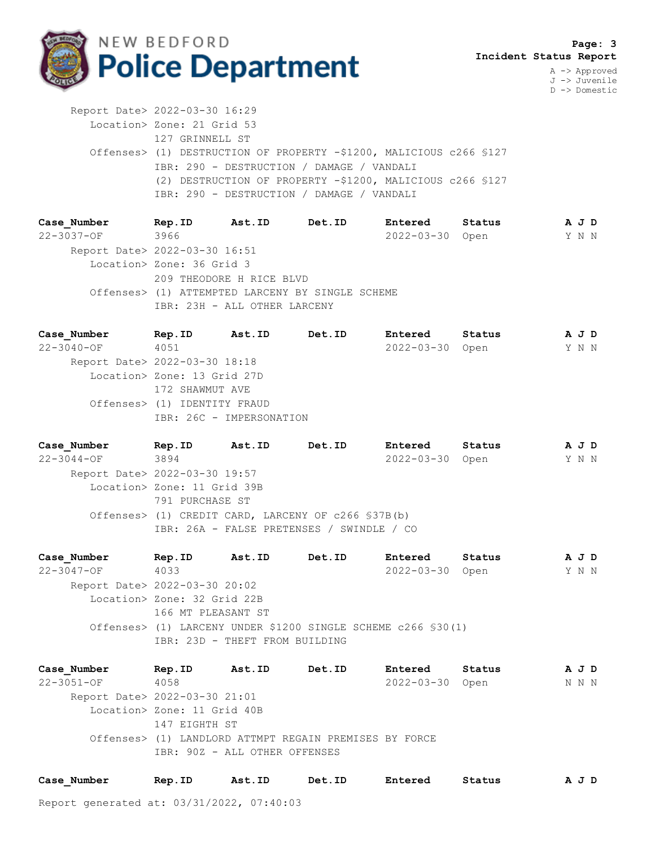

J -> Juvenile D -> Domestic

 Report Date> 2022-03-30 16:29 Location> Zone: 21 Grid 53 127 GRINNELL ST Offenses> (1) DESTRUCTION OF PROPERTY -\$1200, MALICIOUS c266 §127 IBR: 290 - DESTRUCTION / DAMAGE / VANDALI (2) DESTRUCTION OF PROPERTY -\$1200, MALICIOUS c266 §127 IBR: 290 - DESTRUCTION / DAMAGE / VANDALI

**Case\_Number Rep.ID Ast.ID Det.ID Entered Status A J D** 22-3037-OF 3966 2022-03-30 Open Y N N Report Date> 2022-03-30 16:51 Location> Zone: 36 Grid 3 209 THEODORE H RICE BLVD Offenses> (1) ATTEMPTED LARCENY BY SINGLE SCHEME IBR: 23H - ALL OTHER LARCENY

**Case\_Number Rep.ID Ast.ID Det.ID Entered Status A J D** 22-3040-OF 4051 2022-03-30 Open Y N N Report Date> 2022-03-30 18:18 Location> Zone: 13 Grid 27D 172 SHAWMUT AVE Offenses> (1) IDENTITY FRAUD IBR: 26C - IMPERSONATION

**Case\_Number Rep.ID Ast.ID Det.ID Entered Status A J D** 22-3044-OF 3894 2022-03-30 Open Y N N Report Date> 2022-03-30 19:57 Location> Zone: 11 Grid 39B 791 PURCHASE ST Offenses> (1) CREDIT CARD, LARCENY OF c266 §37B(b) IBR: 26A - FALSE PRETENSES / SWINDLE / CO

**Case\_Number Rep.ID Ast.ID Det.ID Entered Status A J D** 22-3047-OF 4033 2022-03-30 Open Y N N Report Date> 2022-03-30 20:02 Location> Zone: 32 Grid 22B 166 MT PLEASANT ST Offenses> (1) LARCENY UNDER \$1200 SINGLE SCHEME c266 §30(1) IBR: 23D - THEFT FROM BUILDING

**Case\_Number Rep.ID Ast.ID Det.ID Entered Status A J D** 22-3051-OF 4058 2022-03-30 Open N N N Report Date> 2022-03-30 21:01 Location> Zone: 11 Grid 40B 147 EIGHTH ST Offenses> (1) LANDLORD ATTMPT REGAIN PREMISES BY FORCE IBR: 90Z - ALL OTHER OFFENSES

| Case Number | Rep.ID | Ast.ID | Det.ID | Entered | Status | A J D |
|-------------|--------|--------|--------|---------|--------|-------|
|-------------|--------|--------|--------|---------|--------|-------|